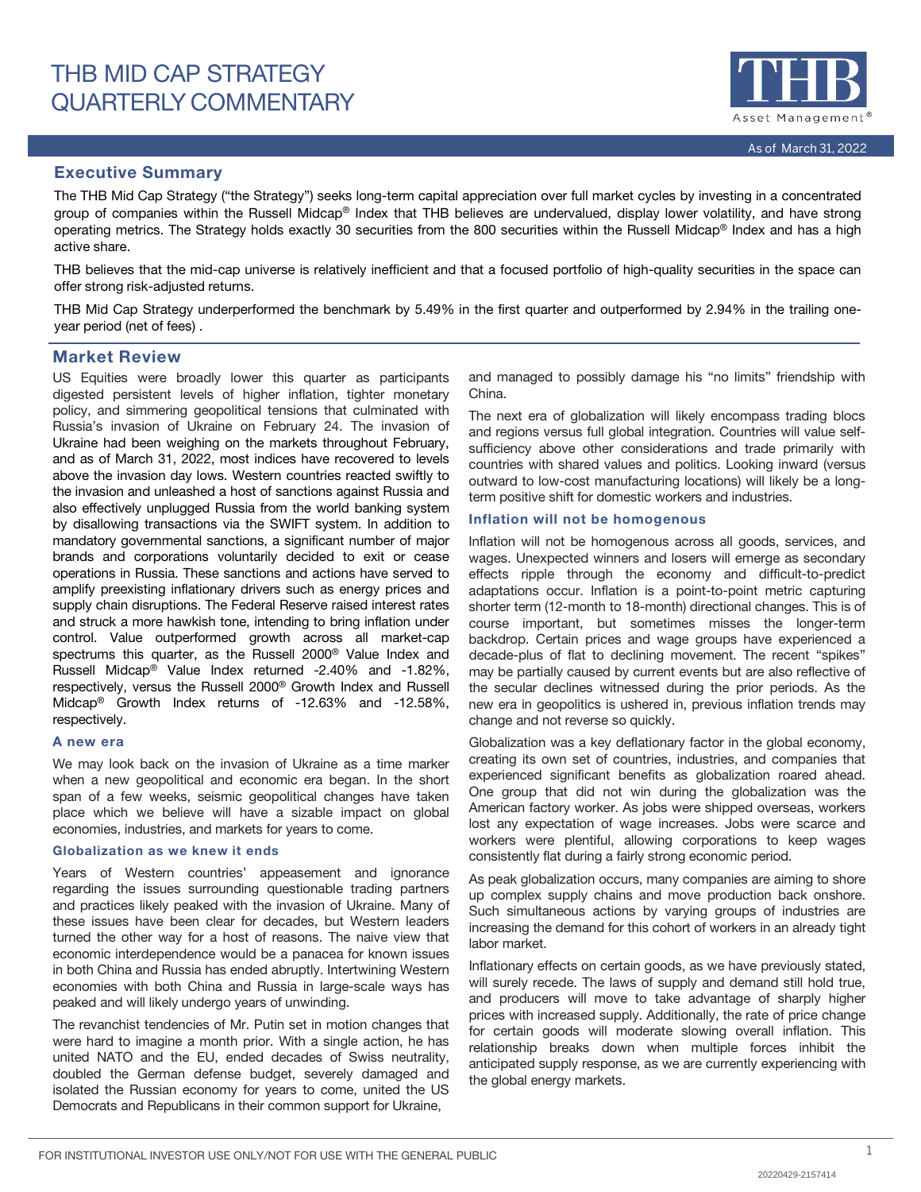

## Executive Summary

The THB Mid Cap Strategy ("the Strategy") seeks long-term capital appreciation over full market cycles by investing in a concentrated group of companies within the Russell Midcap® Index that THB believes are undervalued, display lower volatility, and have strong operating metrics. The Strategy holds exactly 30 securities from the 800 securities within the Russell Midcap® Index and has a high active share.

THB believes that the mid-cap universe is relatively inefficient and that a focused portfolio of high-quality securities in the space can offer strong risk-adjusted returns.

THB Mid Cap Strategy underperformed the benchmark by 5.49% in the first quarter and outperformed by 2.94% in the trailing oneyear period (net of fees) .

## Market Review

US Equities were broadly lower this quarter as participants digested persistent levels of higher inflation, tighter monetary policy, and simmering geopolitical tensions that culminated with Russia's invasion of Ukraine on February 24. The invasion of Ukraine had been weighing on the markets throughout February, and as of March 31, 2022, most indices have recovered to levels above the invasion day lows. Western countries reacted swiftly to the invasion and unleashed a host of sanctions against Russia and also effectively unplugged Russia from the world banking system by disallowing transactions via the SWIFT system. In addition to mandatory governmental sanctions, a significant number of major brands and corporations voluntarily decided to exit or cease operations in Russia. These sanctions and actions have served to amplify preexisting inflationary drivers such as energy prices and supply chain disruptions. The Federal Reserve raised interest rates and struck a more hawkish tone, intending to bring inflation under control. Value outperformed growth across all market-cap spectrums this quarter, as the Russell 2000® Value Index and Russell Midcap® Value Index returned -2.40% and -1.82%, respectively, versus the Russell 2000® Growth Index and Russell Midcap® Growth Index returns of -12.63% and -12.58%, respectively.

#### A new era

We may look back on the invasion of Ukraine as a time marker when a new geopolitical and economic era began. In the short span of a few weeks, seismic geopolitical changes have taken place which we believe will have a sizable impact on global economies, industries, and markets for years to come.

#### Globalization as we knew it ends

Years of Western countries' appeasement and ignorance regarding the issues surrounding questionable trading partners and practices likely peaked with the invasion of Ukraine. Many of these issues have been clear for decades, but Western leaders turned the other way for a host of reasons. The naive view that economic interdependence would be a panacea for known issues in both China and Russia has ended abruptly. Intertwining Western economies with both China and Russia in large-scale ways has peaked and will likely undergo years of unwinding.

The revanchist tendencies of Mr. Putin set in motion changes that were hard to imagine a month prior. With a single action, he has united NATO and the EU, ended decades of Swiss neutrality, doubled the German defense budget, severely damaged and isolated the Russian economy for years to come, united the US Democrats and Republicans in their common support for Ukraine,

and managed to possibly damage his "no limits" friendship with China.

The next era of globalization will likely encompass trading blocs and regions versus full global integration. Countries will value selfsufficiency above other considerations and trade primarily with countries with shared values and politics. Looking inward (versus outward to low-cost manufacturing locations) will likely be a longterm positive shift for domestic workers and industries.

### Inflation will not be homogenous

Inflation will not be homogenous across all goods, services, and wages. Unexpected winners and losers will emerge as secondary effects ripple through the economy and difficult-to-predict adaptations occur. Inflation is a point-to-point metric capturing shorter term (12-month to 18-month) directional changes. This is of course important, but sometimes misses the longer-term backdrop. Certain prices and wage groups have experienced a decade-plus of flat to declining movement. The recent "spikes" may be partially caused by current events but are also reflective of the secular declines witnessed during the prior periods. As the new era in geopolitics is ushered in, previous inflation trends may change and not reverse so quickly.

Globalization was a key deflationary factor in the global economy, creating its own set of countries, industries, and companies that experienced significant benefits as globalization roared ahead. One group that did not win during the globalization was the American factory worker. As jobs were shipped overseas, workers lost any expectation of wage increases. Jobs were scarce and workers were plentiful, allowing corporations to keep wages consistently flat during a fairly strong economic period.

As peak globalization occurs, many companies are aiming to shore up complex supply chains and move production back onshore. Such simultaneous actions by varying groups of industries are increasing the demand for this cohort of workers in an already tight labor market.

Inflationary effects on certain goods, as we have previously stated, will surely recede. The laws of supply and demand still hold true, and producers will move to take advantage of sharply higher prices with increased supply. Additionally, the rate of price change for certain goods will moderate slowing overall inflation. This relationship breaks down when multiple forces inhibit the anticipated supply response, as we are currently experiencing with the global energy markets.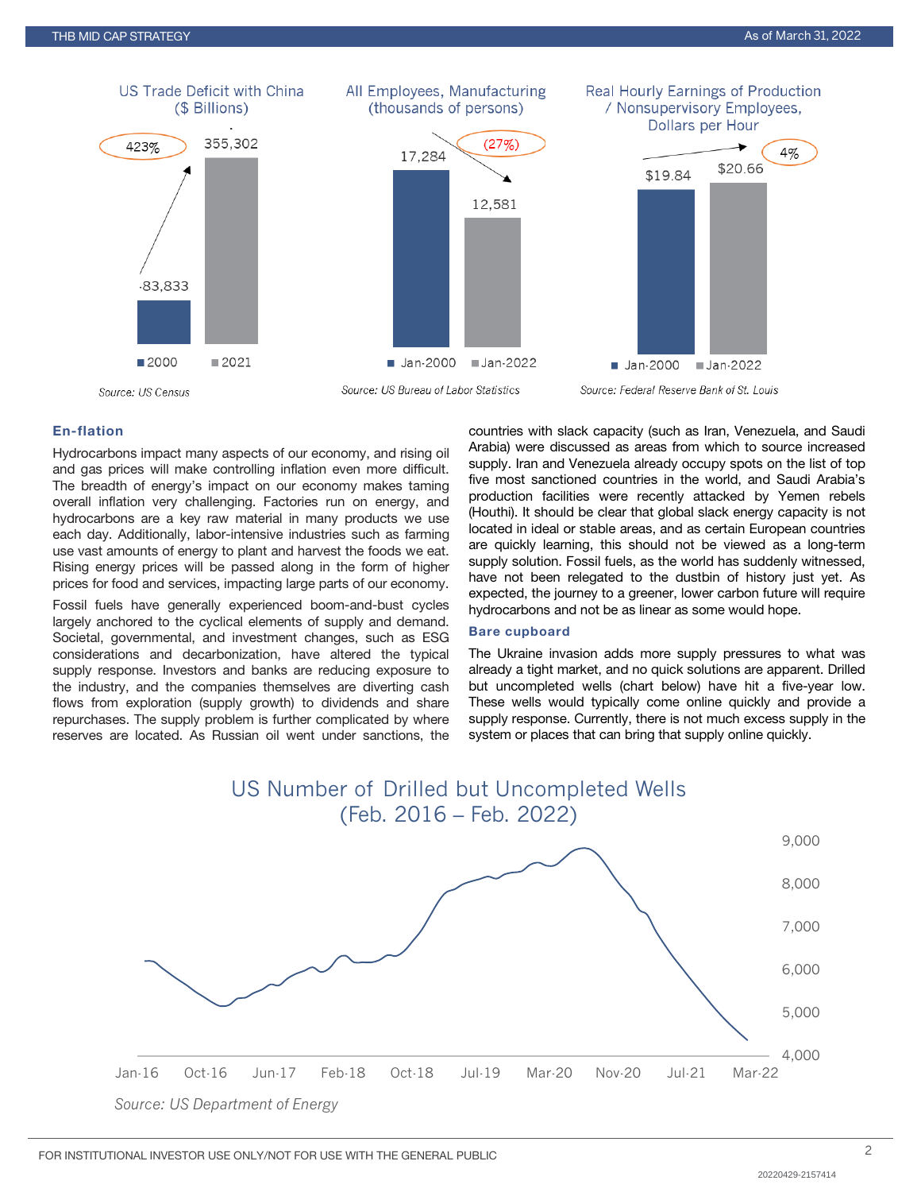

## En-flation

Hydrocarbons impact many aspects of our economy, and rising oil and gas prices will make controlling inflation even more difficult. The breadth of energy's impact on our economy makes taming overall inflation very challenging. Factories run on energy, and hydrocarbons are a key raw material in many products we use each day. Additionally, labor-intensive industries such as farming use vast amounts of energy to plant and harvest the foods we eat. Rising energy prices will be passed along in the form of higher prices for food and services, impacting large parts of our economy.

Fossil fuels have generally experienced boom-and-bust cycles largely anchored to the cyclical elements of supply and demand. Societal, governmental, and investment changes, such as ESG considerations and decarbonization, have altered the typical supply response. Investors and banks are reducing exposure to the industry, and the companies themselves are diverting cash flows from exploration (supply growth) to dividends and share repurchases. The supply problem is further complicated by where reserves are located. As Russian oil went under sanctions, the countries with slack capacity (such as Iran, Venezuela, and Saudi Arabia) were discussed as areas from which to source increased supply. Iran and Venezuela already occupy spots on the list of top five most sanctioned countries in the world, and Saudi Arabia's production facilities were recently attacked by Yemen rebels (Houthi). It should be clear that global slack energy capacity is not located in ideal or stable areas, and as certain European countries are quickly learning, this should not be viewed as a long-term supply solution. Fossil fuels, as the world has suddenly witnessed, have not been relegated to the dustbin of history just yet. As expected, the journey to a greener, lower carbon future will require hydrocarbons and not be as linear as some would hope.

#### Bare cupboard

The Ukraine invasion adds more supply pressures to what was already a tight market, and no quick solutions are apparent. Drilled but uncompleted wells (chart below) have hit a five-year low. These wells would typically come online quickly and provide a supply response. Currently, there is not much excess supply in the system or places that can bring that supply online quickly.

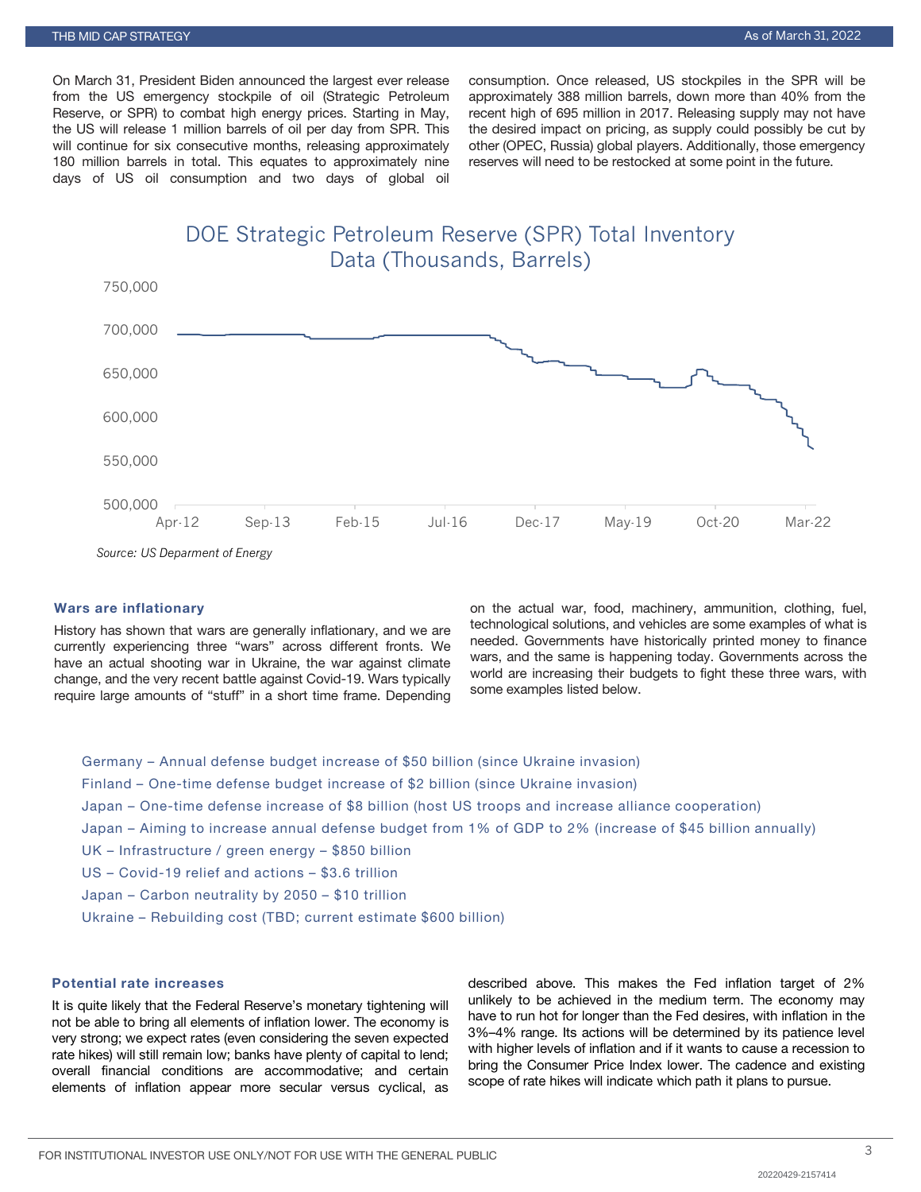On March 31, President Biden announced the largest ever release from the US emergency stockpile of oil (Strategic Petroleum Reserve, or SPR) to combat high energy prices. Starting in May, the US will release 1 million barrels of oil per day from SPR. This will continue for six consecutive months, releasing approximately 180 million barrels in total. This equates to approximately nine days of US oil consumption and two days of global oil consumption. Once released, US stockpiles in the SPR will be approximately 388 million barrels, down more than 40% from the recent high of 695 million in 2017. Releasing supply may not have the desired impact on pricing, as supply could possibly be cut by other (OPEC, Russia) global players. Additionally, those emergency reserves will need to be restocked at some point in the future.

DOE Strategic Petroleum Reserve (SPR) Total Inventory Data (Thousands, Barrels)



*Source: US Deparment of Energy*

#### Wars are inflationary

History has shown that wars are generally inflationary, and we are currently experiencing three "wars" across different fronts. We have an actual shooting war in Ukraine, the war against climate change, and the very recent battle against Covid-19. Wars typically require large amounts of "stuff" in a short time frame. Depending

on the actual war, food, machinery, ammunition, clothing, fuel, technological solutions, and vehicles are some examples of what is needed. Governments have historically printed money to finance wars, and the same is happening today. Governments across the world are increasing their budgets to fight these three wars, with some examples listed below.

Germany – Annual defense budget increase of \$50 billion (since Ukraine invasion) Finland – One-time defense budget increase of \$2 billion (since Ukraine invasion) Japan – One-time defense increase of \$8 billion (host US troops and increase alliance cooperation) Japan – Aiming to increase annual defense budget from 1% of GDP to 2% (increase of \$45 billion annually) UK – Infrastructure / green energy – \$850 billion US – Covid-19 relief and actions – \$3.6 trillion Japan – Carbon neutrality by 2050 – \$10 trillion Ukraine – Rebuilding cost (TBD; current estimate \$600 billion)

## Potential rate increases

It is quite likely that the Federal Reserve's monetary tightening will not be able to bring all elements of inflation lower. The economy is very strong; we expect rates (even considering the seven expected rate hikes) will still remain low; banks have plenty of capital to lend; overall financial conditions are accommodative; and certain elements of inflation appear more secular versus cyclical, as

described above. This makes the Fed inflation target of 2% unlikely to be achieved in the medium term. The economy may have to run hot for longer than the Fed desires, with inflation in the 3%–4% range. Its actions will be determined by its patience level with higher levels of inflation and if it wants to cause a recession to bring the Consumer Price Index lower. The cadence and existing scope of rate hikes will indicate which path it plans to pursue.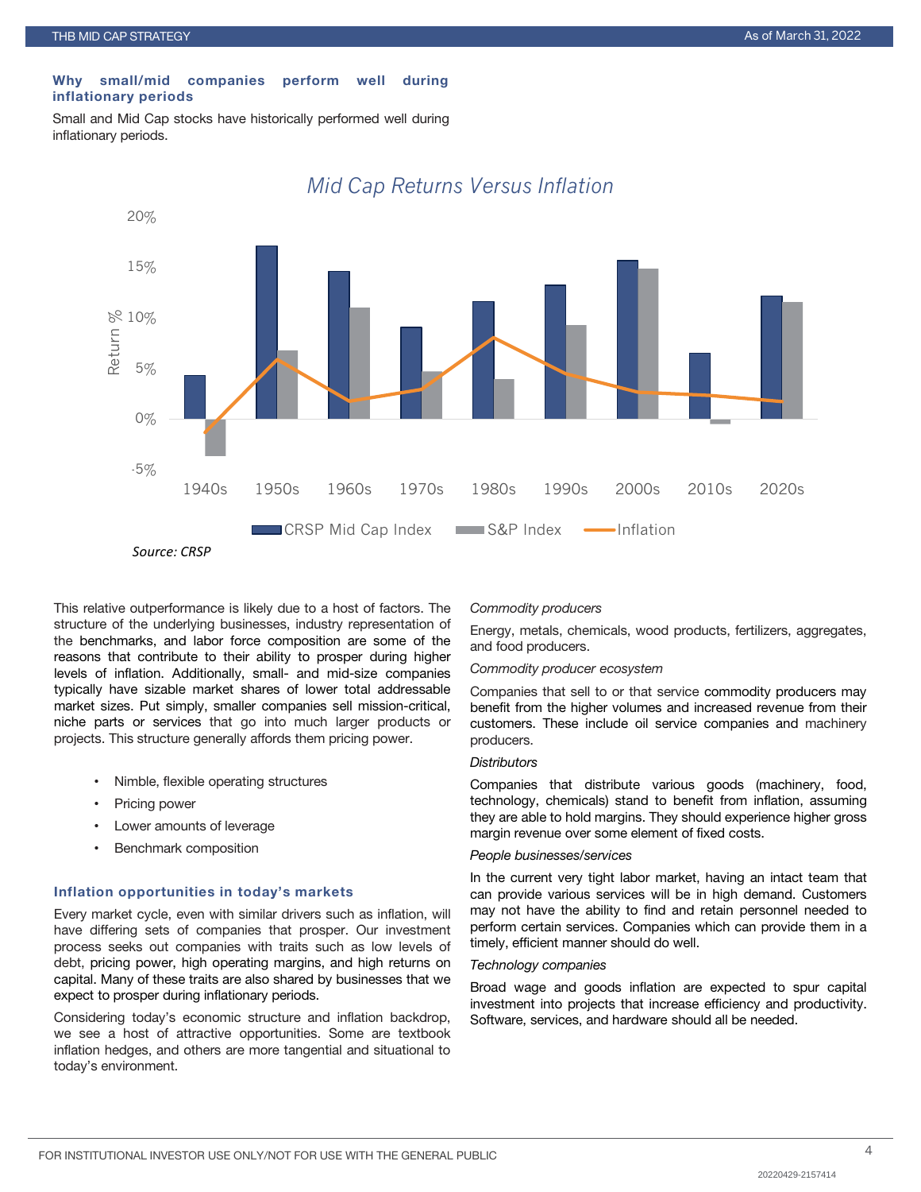#### Why small/mid companies perform well during inflationary periods

Small and Mid Cap stocks have historically performed well during inflationary periods.



## *Mid Cap Returns Versus Inflation*

This relative outperformance is likely due to a host of factors. The structure of the underlying businesses, industry representation of the benchmarks, and labor force composition are some of the reasons that contribute to their ability to prosper during higher levels of inflation. Additionally, small- and mid-size companies typically have sizable market shares of lower total addressable market sizes. Put simply, smaller companies sell mission-critical, niche parts or services that go into much larger products or projects. This structure generally affords them pricing power.

- Nimble, flexible operating structures
- Pricing power
- Lower amounts of leverage
- Benchmark composition

#### Inflation opportunities in today's markets

Every market cycle, even with similar drivers such as inflation, will have differing sets of companies that prosper. Our investment process seeks out companies with traits such as low levels of debt, pricing power, high operating margins, and high returns on capital. Many of these traits are also shared by businesses that we expect to prosper during inflationary periods.

Considering today's economic structure and inflation backdrop, we see a host of attractive opportunities. Some are textbook inflation hedges, and others are more tangential and situational to today's environment.

*Commodity producers*

Energy, metals, chemicals, wood products, fertilizers, aggregates, and food producers.

#### *Commodity producer ecosystem*

Companies that sell to or that service commodity producers may benefit from the higher volumes and increased revenue from their customers. These include oil service companies and machinery producers.

#### *Distributors*

Companies that distribute various goods (machinery, food, technology, chemicals) stand to benefit from inflation, assuming they are able to hold margins. They should experience higher gross margin revenue over some element of fixed costs.

#### *People businesses/services*

In the current very tight labor market, having an intact team that can provide various services will be in high demand. Customers may not have the ability to find and retain personnel needed to perform certain services. Companies which can provide them in a timely, efficient manner should do well.

#### *Technology companies*

Broad wage and goods inflation are expected to spur capital investment into projects that increase efficiency and productivity. Software, services, and hardware should all be needed.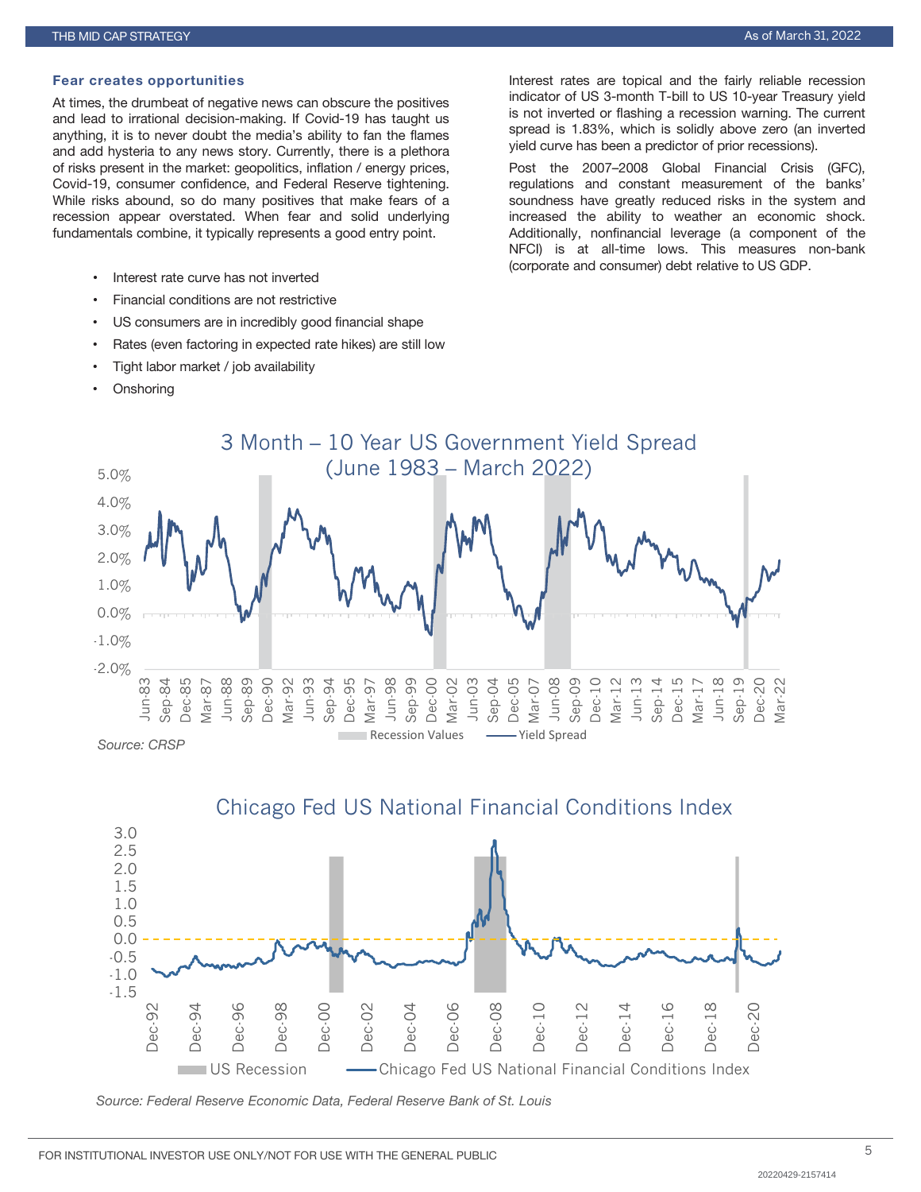#### Fear creates opportunities

At times, the drumbeat of negative news can obscure the positives and lead to irrational decision-making. If Covid-19 has taught us anything, it is to never doubt the media's ability to fan the flames and add hysteria to any news story. Currently, there is a plethora of risks present in the market: geopolitics, inflation / energy prices, Covid-19, consumer confidence, and Federal Reserve tightening. While risks abound, so do many positives that make fears of a recession appear overstated. When fear and solid underlying fundamentals combine, it typically represents a good entry point.

- Interest rate curve has not inverted
- Financial conditions are not restrictive
- US consumers are in incredibly good financial shape
- Rates (even factoring in expected rate hikes) are still low
- Tight labor market / job availability
- **Onshoring**

Interest rates are topical and the fairly reliable recession indicator of US 3-month T-bill to US 10-year Treasury yield is not inverted or flashing a recession warning. The current spread is 1.83%, which is solidly above zero (an inverted yield curve has been a predictor of prior recessions).

Post the 2007–2008 Global Financial Crisis (GFC), regulations and constant measurement of the banks' soundness have greatly reduced risks in the system and increased the ability to weather an economic shock. Additionally, nonfinancial leverage (a component of the NFCI) is at all-time lows. This measures non-bank (corporate and consumer) debt relative to US GDP.





*Source: Federal Reserve Economic Data, Federal Reserve Bank of St. Louis*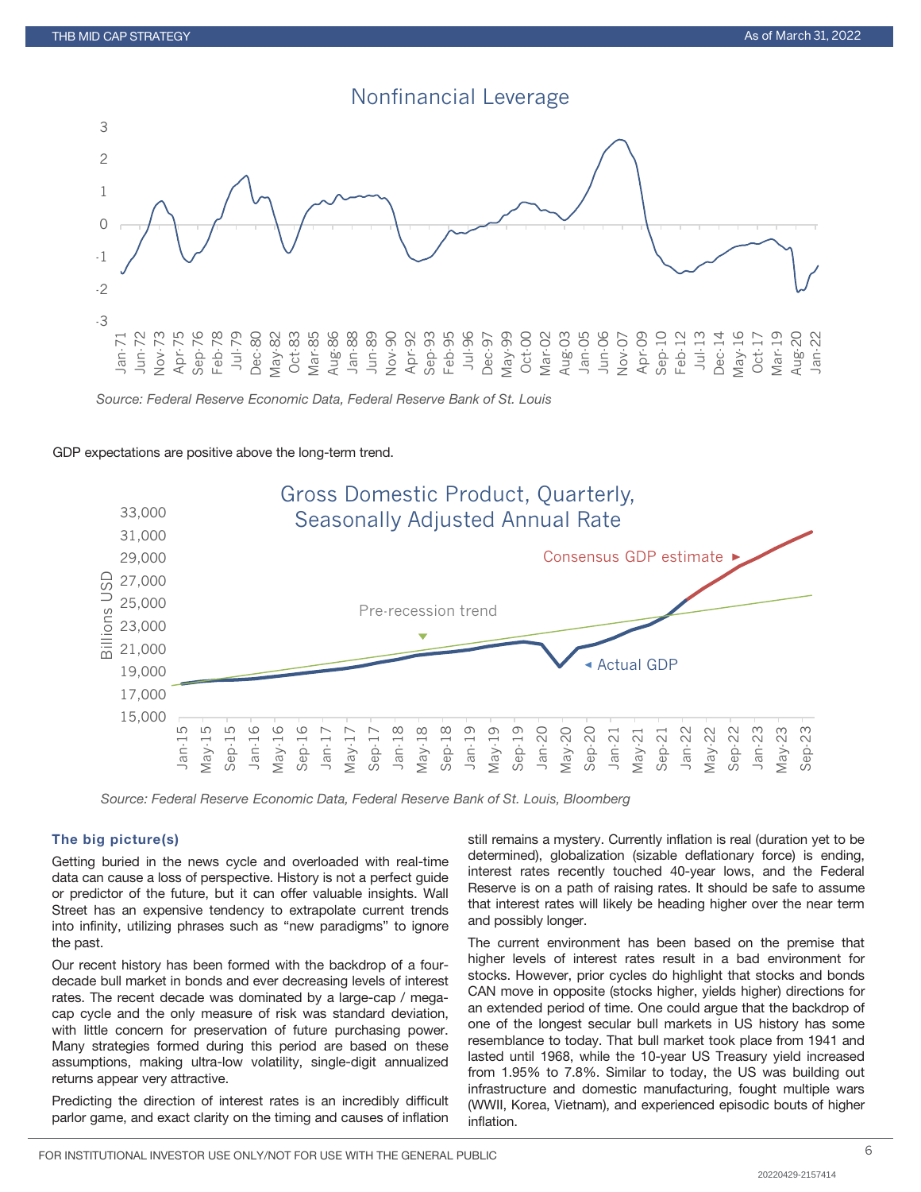

*Source: Federal Reserve Economic Data, Federal Reserve Bank of St. Louis*

#### GDP expectations are positive above the long-term trend.



*Source: Federal Reserve Economic Data, Federal Reserve Bank of St. Louis, Bloomberg*

#### The big picture(s)

Getting buried in the news cycle and overloaded with real-time data can cause a loss of perspective. History is not a perfect guide or predictor of the future, but it can offer valuable insights. Wall Street has an expensive tendency to extrapolate current trends into infinity, utilizing phrases such as "new paradigms" to ignore the past.

Our recent history has been formed with the backdrop of a fourdecade bull market in bonds and ever decreasing levels of interest rates. The recent decade was dominated by a large-cap / megacap cycle and the only measure of risk was standard deviation, with little concern for preservation of future purchasing power. Many strategies formed during this period are based on these assumptions, making ultra-low volatility, single-digit annualized returns appear very attractive.

Predicting the direction of interest rates is an incredibly difficult parlor game, and exact clarity on the timing and causes of inflation

still remains a mystery. Currently inflation is real (duration yet to be determined), globalization (sizable deflationary force) is ending, interest rates recently touched 40-year lows, and the Federal Reserve is on a path of raising rates. It should be safe to assume that interest rates will likely be heading higher over the near term and possibly longer.

The current environment has been based on the premise that higher levels of interest rates result in a bad environment for stocks. However, prior cycles do highlight that stocks and bonds CAN move in opposite (stocks higher, yields higher) directions for an extended period of time. One could argue that the backdrop of one of the longest secular bull markets in US history has some resemblance to today. That bull market took place from 1941 and lasted until 1968, while the 10-year US Treasury yield increased from 1.95% to 7.8%. Similar to today, the US was building out infrastructure and domestic manufacturing, fought multiple wars (WWII, Korea, Vietnam), and experienced episodic bouts of higher inflation.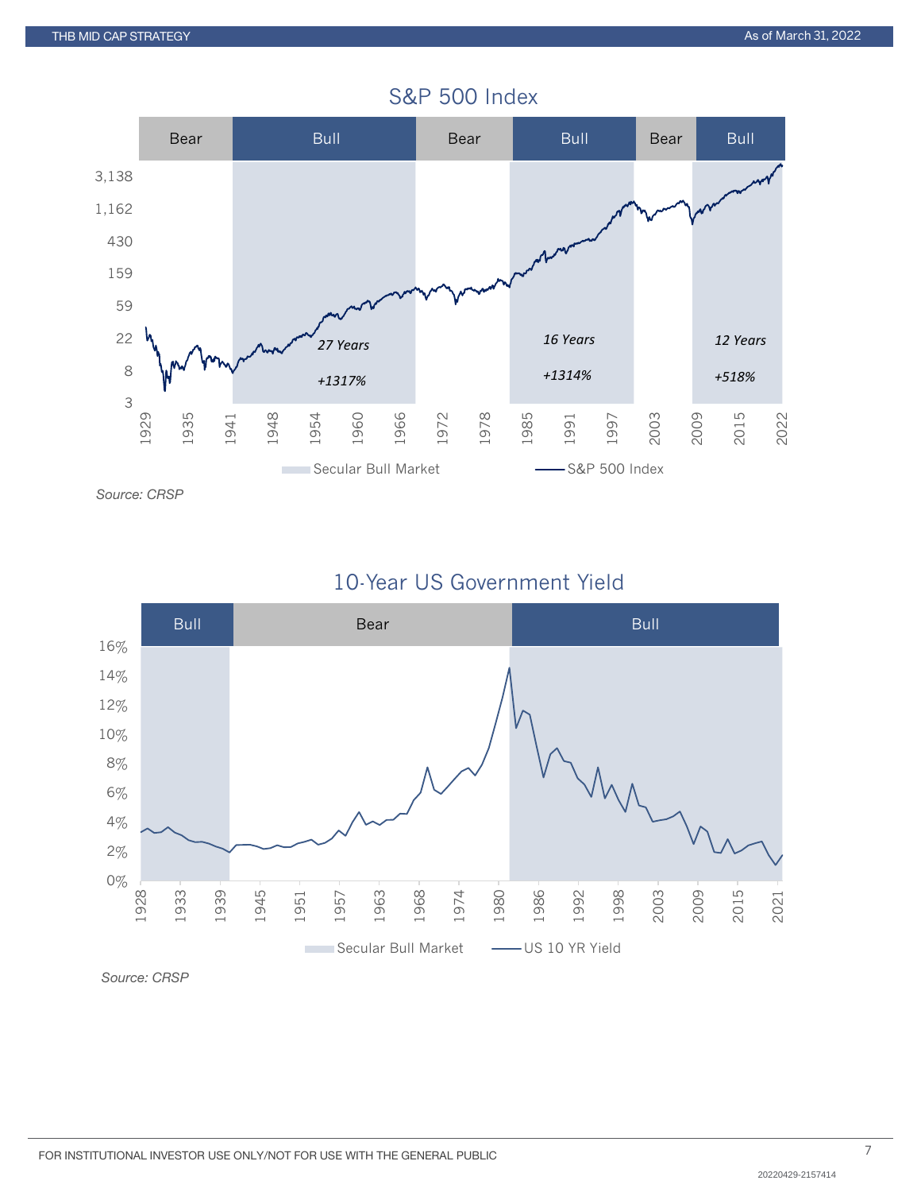

# S&P 500 Index

10-Year US Government Yield



*Source: CRSP*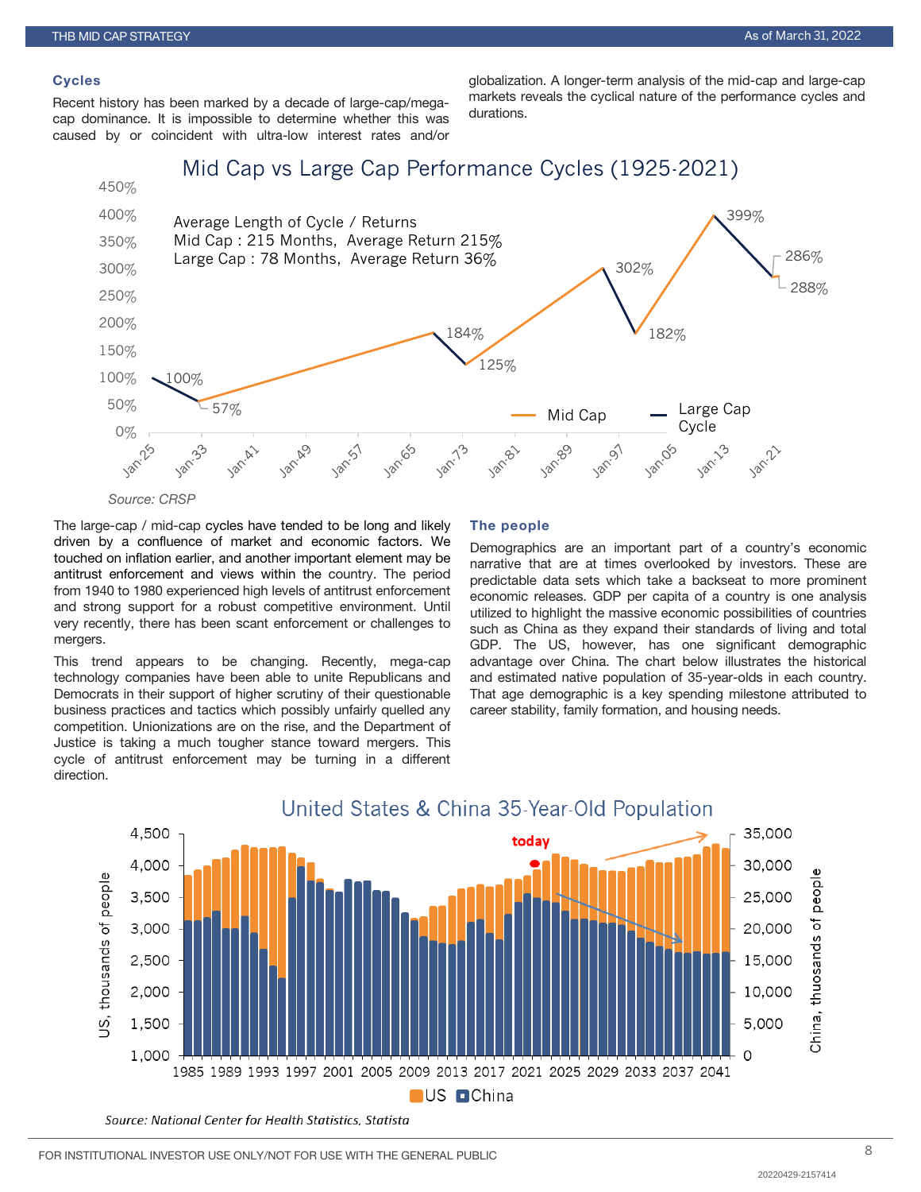#### **Cycles**

Recent history has been marked by a decade of large-cap/megacap dominance. It is impossible to determine whether this was caused by or coincident with ultra-low interest rates and/or

globalization. A longer-term analysis of the mid-cap and large-cap markets reveals the cyclical nature of the performance cycles and durations.



*Source: CRSP*

The large-cap / mid-cap cycles have tended to be long and likely driven by a confluence of market and economic factors. We touched on inflation earlier, and another important element may be antitrust enforcement and views within the country. The period from 1940 to 1980 experienced high levels of antitrust enforcement and strong support for a robust competitive environment. Until very recently, there has been scant enforcement or challenges to mergers.

This trend appears to be changing. Recently, mega-cap technology companies have been able to unite Republicans and Democrats in their support of higher scrutiny of their questionable business practices and tactics which possibly unfairly quelled any competition. Unionizations are on the rise, and the Department of Justice is taking a much tougher stance toward mergers. This cycle of antitrust enforcement may be turning in a different direction.

#### The people

Demographics are an important part of a country's economic narrative that are at times overlooked by investors. These are predictable data sets which take a backseat to more prominent economic releases. GDP per capita of a country is one analysis utilized to highlight the massive economic possibilities of countries such as China as they expand their standards of living and total GDP. The US, however, has one significant demographic advantage over China. The chart below illustrates the historical and estimated native population of 35-year-olds in each country. That age demographic is a key spending milestone attributed to career stability, family formation, and housing needs.



Source: National Center for Health Statistics, Statista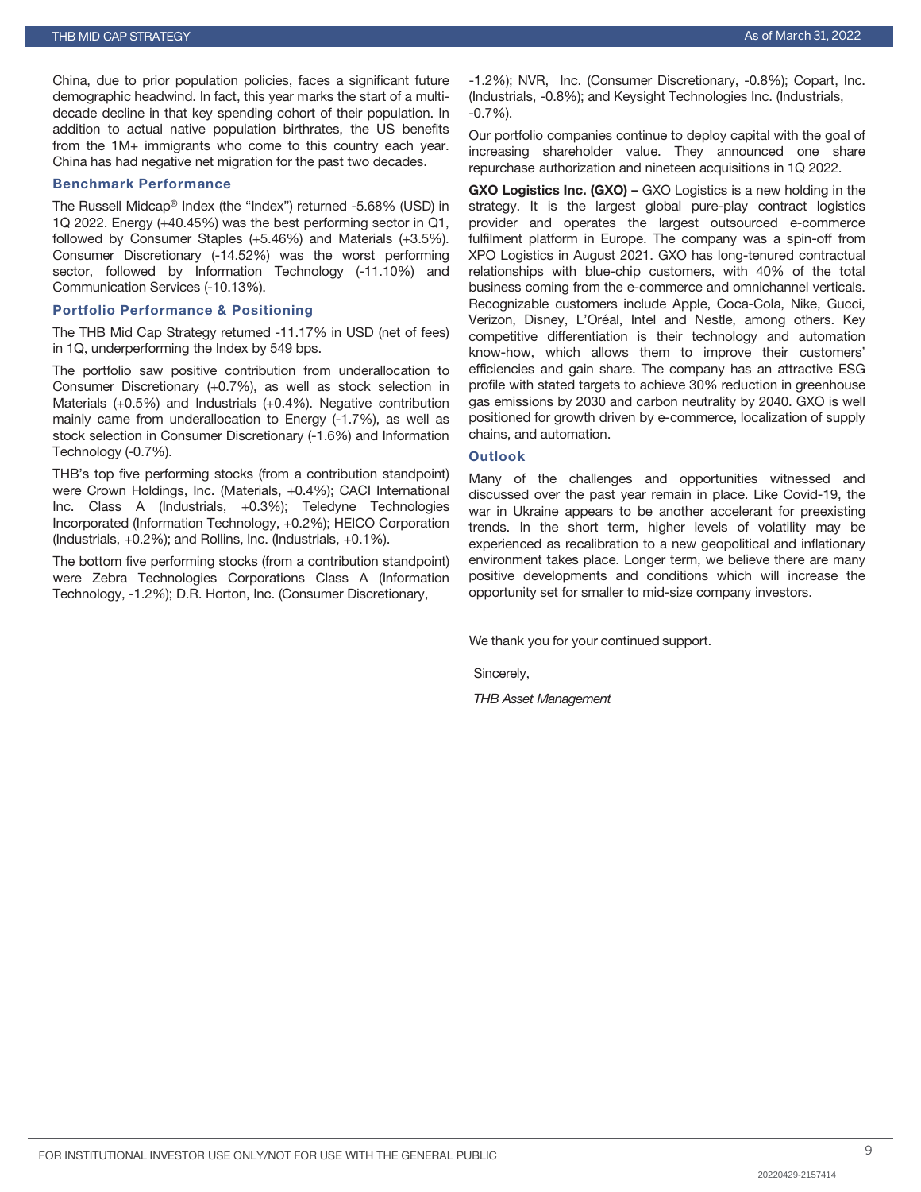China, due to prior population policies, faces a significant future demographic headwind. In fact, this year marks the start of a multidecade decline in that key spending cohort of their population. In addition to actual native population birthrates, the US benefits from the 1M+ immigrants who come to this country each year. China has had negative net migration for the past two decades.

#### Benchmark Performance

The Russell Midcap® Index (the "Index") returned -5.68% (USD) in 1Q 2022. Energy (+40.45%) was the best performing sector in Q1, followed by Consumer Staples (+5.46%) and Materials (+3.5%). Consumer Discretionary (-14.52%) was the worst performing sector, followed by Information Technology (-11.10%) and Communication Services (-10.13%).

## Portfolio Performance & Positioning

The THB Mid Cap Strategy returned -11.17% in USD (net of fees) in 1Q, underperforming the Index by 549 bps.

The portfolio saw positive contribution from underallocation to Consumer Discretionary (+0.7%), as well as stock selection in Materials (+0.5%) and Industrials (+0.4%). Negative contribution mainly came from underallocation to Energy (-1.7%), as well as stock selection in Consumer Discretionary (-1.6%) and Information Technology (-0.7%).

THB's top five performing stocks (from a contribution standpoint) were Crown Holdings, Inc. (Materials, +0.4%); CACI International Inc. Class A (Industrials, +0.3%); Teledyne Technologies Incorporated (Information Technology, +0.2%); HEICO Corporation (Industrials, +0.2%); and Rollins, Inc. (Industrials, +0.1%).

The bottom five performing stocks (from a contribution standpoint) were Zebra Technologies Corporations Class A (Information Technology, -1.2%); D.R. Horton, Inc. (Consumer Discretionary,

-1.2%); NVR, Inc. (Consumer Discretionary, -0.8%); Copart, Inc. (Industrials, -0.8%); and Keysight Technologies Inc. (Industrials, -0.7%).

Our portfolio companies continue to deploy capital with the goal of increasing shareholder value. They announced one share repurchase authorization and nineteen acquisitions in 1Q 2022.

GXO Logistics Inc. (GXO) – GXO Logistics is a new holding in the strategy. It is the largest global pure-play contract logistics provider and operates the largest outsourced e-commerce fulfilment platform in Europe. The company was a spin-off from XPO Logistics in August 2021. GXO has long-tenured contractual relationships with blue-chip customers, with 40% of the total business coming from the e-commerce and omnichannel verticals. Recognizable customers include Apple, Coca-Cola, Nike, Gucci, Verizon, Disney, L'Oréal, Intel and Nestle, among others. Key competitive differentiation is their technology and automation know-how, which allows them to improve their customers' efficiencies and gain share. The company has an attractive ESG profile with stated targets to achieve 30% reduction in greenhouse gas emissions by 2030 and carbon neutrality by 2040. GXO is well positioned for growth driven by e-commerce, localization of supply chains, and automation.

## **Outlook**

Many of the challenges and opportunities witnessed and discussed over the past year remain in place. Like Covid-19, the war in Ukraine appears to be another accelerant for preexisting trends. In the short term, higher levels of volatility may be experienced as recalibration to a new geopolitical and inflationary environment takes place. Longer term, we believe there are many positive developments and conditions which will increase the opportunity set for smaller to mid-size company investors.

We thank you for your continued support.

Sincerely,

*THB Asset Management*